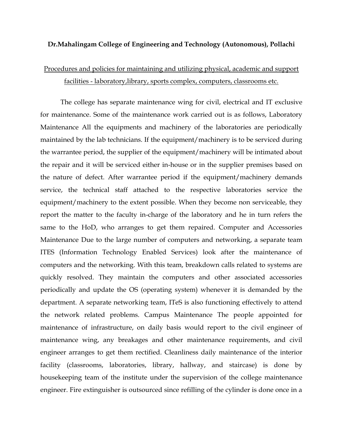## **Dr.Mahalingam College of Engineering and Technology (Autonomous), Pollachi**

## Procedures and policies for maintaining and utilizing physical, academic and support facilities - laboratory,library, sports complex, computers, classrooms etc.

The college has separate maintenance wing for civil, electrical and IT exclusive for maintenance. Some of the maintenance work carried out is as follows, Laboratory Maintenance All the equipments and machinery of the laboratories are periodically maintained by the lab technicians. If the equipment/machinery is to be serviced during the warrantee period, the supplier of the equipment/machinery will be intimated about the repair and it will be serviced either in-house or in the supplier premises based on the nature of defect. After warrantee period if the equipment/machinery demands service, the technical staff attached to the respective laboratories service the equipment/machinery to the extent possible. When they become non serviceable, they report the matter to the faculty in-charge of the laboratory and he in turn refers the same to the HoD, who arranges to get them repaired. Computer and Accessories Maintenance Due to the large number of computers and networking, a separate team ITES (Information Technology Enabled Services) look after the maintenance of computers and the networking. With this team, breakdown calls related to systems are quickly resolved. They maintain the computers and other associated accessories periodically and update the OS (operating system) whenever it is demanded by the department. A separate networking team, ITeS is also functioning effectively to attend the network related problems. Campus Maintenance The people appointed for maintenance of infrastructure, on daily basis would report to the civil engineer of maintenance wing, any breakages and other maintenance requirements, and civil engineer arranges to get them rectified. Cleanliness daily maintenance of the interior facility (classrooms, laboratories, library, hallway, and staircase) is done by housekeeping team of the institute under the supervision of the college maintenance engineer. Fire extinguisher is outsourced since refilling of the cylinder is done once in a